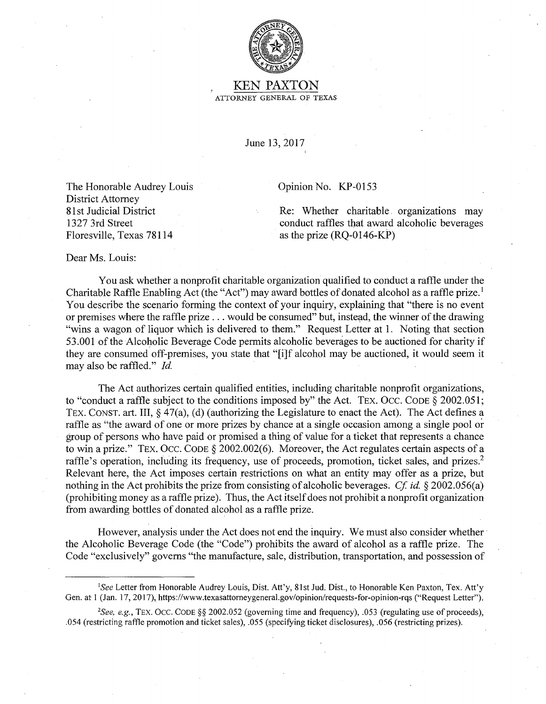

## KEN PAXTON ATTORNEY GENERAL OF TEXAS

June 13, 2017

The Honorable Audrey Louis District Attorney 81 st Judicial District 1327 3rd Street

Opinion No. KP-0153

Re: Whether charitable. organizations may conduct raffles that award alcoholic beverages as the prize (RQ-0146-KP)

Dear Ms. Louis:

Floresville, Texas 78114

You ask whether a nonprofit charitable organization qualified to conduct a raffle under the Charitable Raffle Enabling Act (the "Act") may award bottles of donated alcohol as a raffle prize.<sup>1</sup> You describe the scenario forming the context of your inquiry, explaining that "there is no event or premises where the raffle prize ... would be consumed" but, instead, the winner of the drawing "wins a wagon of liquor which is delivered to them." Request Letter at 1. Noting that section 53.001 of the Alcoholic Beverage Code permits alcoholic beverages to be auctioned for charity if they are consumed off-premises, you state that "[i]f alcohol may be auctioned, it would seem it may also be raffled." *Id.* 

The Act authorizes certain qualified entities, including charitable nonprofit organizations, to "conduct a raffle subject to the conditions imposed by" the Act. TEX. Occ. CODE § 2002.051; TEX. CONST. art. III,§ 47(a), (d) (authorizing the Legislature to enact the Act). The Act defines a raffle as "the award of one or more prizes by chance at a single occasion among a single pool or group of persons who have paid or promised a thing of value for a ticket that represents a chance to win a prize." TEX. Occ. CODE§ 2002.002(6). Moreover, the Act regulates certain aspects of a raffle's operation, including its frequency, use of proceeds, promotion, ticket sales, and prizes.<sup>2</sup> Relevant here, the Act imposes certain restrictions on what an entity may offer as a prize, but nothing in the Act prohibits the prize from consisting of alcoholic beverages. *Cf id.* § 2002.056(a) (prohibiting money as a raffle prize). Thus, the Act itself does not prohibit a nonprofit organization from awarding bottles of donated alcohol as a raffle prize.

However, analysis under the Act does not end the inquiry. We must also consider whether· the Alcoholic Beverage Code (the "Code") prohibits the award of alcohol as a raffle prize. The Code "exclusively" governs "the manufacture, sale, distribution, transportation, and possession of

<sup>&</sup>lt;sup>1</sup>*See* Letter from Honorable Audrey Louis, Dist. Att'y, 81st Jud. Dist., to Honorable Ken Paxton, Tex. Att'y Gen. at 1 (Jan. 17, 2017), https://www.texasattorneygeneral.gov/opinion/requests-for-opinion-rqs ("Request Letter").

*<sup>2</sup> See, e.g.,* TEX. Occ. CODE§§ 2002.052 (governing time and frequency), .053 (regulating use of proceeds), .054 (restricting raffle promotion and ticket sales), .055 (specifying ticket disclosures), .056 (restricting prizes).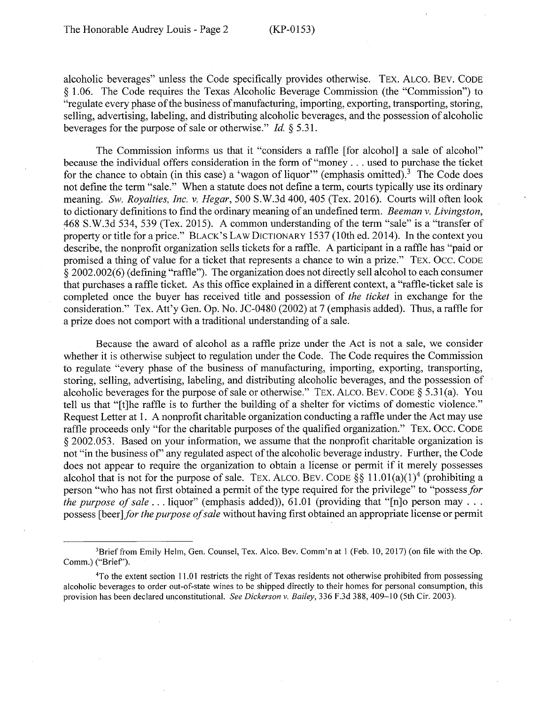alcoholic beverages" unless the Code specifically provides otherwise. TEX. ALCO. BEV. CODE § 1.06. The Code requires the Texas Alcoholic Beverage Commission (the "Commission") to "regulate every phase of the business of manufacturing, importing, exporting, transporting, storing, selling, advertising, labeling, and distributing alcoholic beverages, and the possession of alcoholic beverages for the purpose of sale or otherwise." *Id.* § 5.31.

The Commission informs us that it "considers a raffle [for alcohol] a sale of alcohol" because the individual offers consideration in the form of "money ... used to purchase the ticket for the chance to obtain (in this case) a 'wagon of liquor'" (emphasis omitted).<sup>3</sup> The Code does not define the term "sale." When a statute does not define a term, courts typically use its ordinary meaning. *Sw. Royalties, Inc. v. Hegar,* 500 S.W.3d 400, 405 (Tex. 2016). Courts will often look to dictionary definitions to find the ordinary meaning of an undefined term. *Beeman v. Livingston,*  :468 S.W.3d 534, 539 (Tex. 2015). A common understanding of the term "sale" is a "transfer of property or title for a price." BLACK'S LAW DICTIONARY 1537 (10th ed. 2014). In the context you describe, the nonprofit organization sells tickets for a raffle. A participant in a raffle has "paid or promised a thing of value for a ticket that represents a chance to win a prize." TEX. Occ. CODE § 2002.002(6) (defining "raffle"). The organization does not directly sell alcohol to each consumer that purchases a raffle ticket. As this office explained in a different context, a "raffle-ticket sale is completed once the buyer has received title and possession of *the ticket* in exchange for the consideration." Tex. Att'y Gen. Op. No. JC-0480 (2002) at 7 (emphasis added). Thus, a raffle for a prize does not comport with a traditional understanding of a sale.

Because the award of alcohol as a raffle prize under the Act is not a sale, we consider whether it is otherwise subject to regulation under the Code. The Code requires the Commission to regulate "every phase of the business of manufacturing, importing, exporting, transporting, storing, selling, advertising, labeling, and distributing alcoholic beverages, and the possession of alcoholic beverages for the purpose of sale or otherwise." TEX. ALCO. BEV. CODE  $\S$  5.31(a). You tell us that "[t]he raffle is to further the building of a shelter for victims of domestic violence." Request Letter at 1. A nonprofit charitable organization conducting a raffle under the Act may use raffle proceeds only "for the charitable purposes of the qualified organization." TEX. Occ. CODE § 2002.053. Based on your information, we assume that the nonprofit charitable organization is not "in the business of' any regulated aspect of the alcoholic beverage industry. Further, the Code does not appear to require the organization to obtain a license or permit if it merely possesses alcohol that is not for the purpose of sale. TEX. ALCO. BEV. CODE §§ 11.01(a)(1)<sup>4</sup> (prohibiting a person "who has not first obtained a permit of the type required for the privilege" to "possess *for the purpose of sale* ... liquor" (emphasis added)), 61.01 (providing that "[n]o person may ... possess [beer *]for the purpose of sale* without having first obtained an appropriate license or permit

<sup>&</sup>lt;sup>3</sup>Brief from Emily Helm, Gen. Counsel, Tex. Alco. Bev. Comm'n at 1 (Feb. 10, 2017) (on file with the Op. Comm.) ("Brief').

<sup>4</sup>To the extent section 11.0 I restricts the right of Texas residents not otherwise prohibited from possessing alcoholic beverages to order out-of-state wines to be shipped directly to their homes for personal consumption, this provision has been declared unconstitutional. *See Dickerson v. Bailey,* 336 F.3d 388, 409-10 (5th Cir. 2003).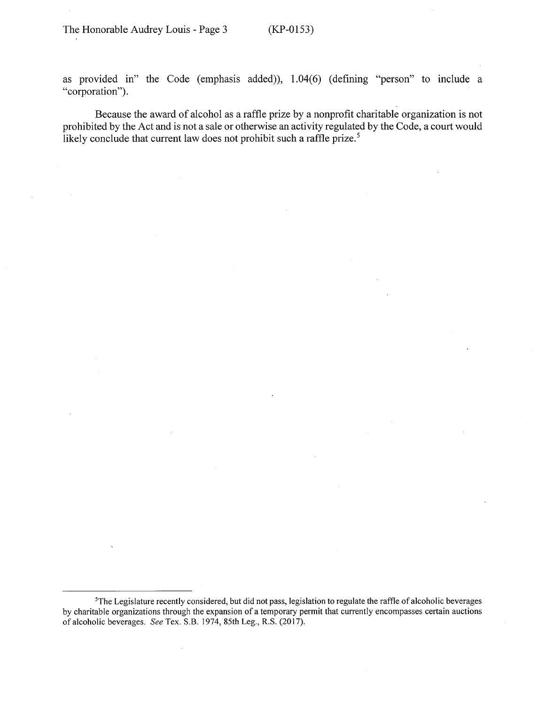as provided in" the Code (emphasis added)), 1.04(6) (defining "person" to include a "corporation").

Because the award of alcohol as a raffle prize by a nonprofit charitable organization is not prohibited by the Act and is not a sale or otherwise an activity regulated by the Code, a court would likely conclude that current law does not prohibit such a raffle prize.<sup>5</sup>

<sup>&</sup>lt;sup>5</sup>The Legislature recently considered, but did not pass, legislation to regulate the raffle of alcoholic beverages by charitable organizations through the expansion of a temporary permit that currently encompasses certain auctions of alcoholic beverages. *See* Tex. S.B. 1974, 85th Leg., R.S. (2017).